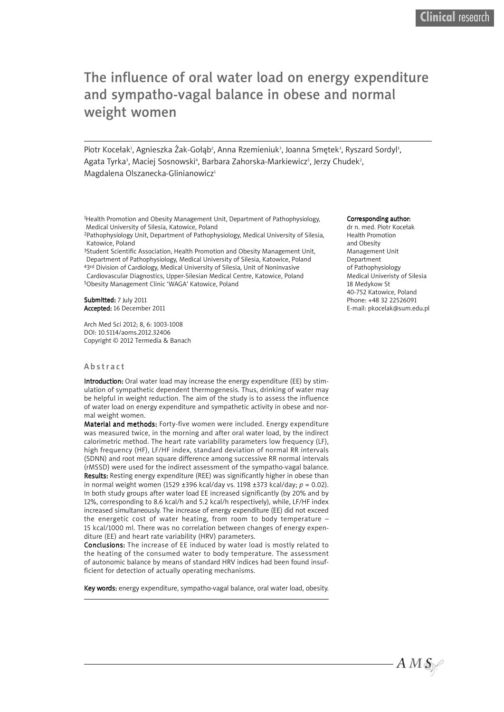# The influence of oral water load on energy expenditure and sympatho-vagal balance in obese and normal weight women

Piotr Kocełak<sup>ı</sup>, Agnieszka Żak-Gołąb<sup>2</sup>, Anna Rzemieniuk<sup>3</sup>, Joanna Smętek<sup>3</sup>, Ryszard Sordyl<sup>3</sup>, Agata Tyrka<sup>3</sup>, Maciej Sosnowski<sup>4</sup>, Barbara Zahorska-Markiewicz<sup>s</sup>, Jerzy Chudek<sup>2</sup>, Magdalena Olszanecka-Glinianowicz<sup>1</sup>

1Health Promotion and Obesity Management Unit, Department of Pathophysiology, Medical University of Silesia, Katowice, Poland

2Pathophysiology Unit, Department of Pathophysiology, Medical University of Silesia, Katowice, Poland

<sup>3</sup>Student Scientific Association, Health Promotion and Obesity Management Unit, Department of Pathophysiology, Medical University of Silesia, Katowice, Poland 43rd Division of Cardiology, Medical University of Silesia, Unit of Noninvasive Cardiovascular Diagnostics, Upper-Silesian Medical Centre, Katowice, Poland 5Obesity Management Clinic 'WAGA' Katowice, Poland

Submitted: 7 July 2011 Accepted: 16 December 2011

Arch Med Sci 2012; 8, 6: 1003-1008 DOI: 10.5114/aoms.2012.32406 Copyright © 2012 Termedia & Banach

## **A** b s t r a c t

Introduction: Oral water load may increase the energy expenditure (EE) by stimulation of sympathetic dependent thermogenesis. Thus, drinking of water may be helpful in weight reduction. The aim of the study is to assess the influence of water load on energy expenditure and sympathetic activity in obese and normal weight women.

Material and methods: Forty-five women were included. Energy expenditure was measured twice, in the morning and after oral water load, by the indirect calorimetric method. The heart rate variability parameters low frequency (LF), high frequency (HF), LF/HF index, standard deviation of normal RR intervals (SDNN) and root mean square difference among successive RR normal intervals (rMSSD) were used for the indirect assessment of the sympatho-vagal balance. Results: Resting energy expenditure (REE) was significantly higher in obese than in normal weight women (1529 ±396 kcal/day vs. 1198 ±373 kcal/day; *p* = 0.02). In both study groups after water load EE increased significantly (by 20% and by 12%, corresponding to 8.6 kcal/h and 5.2 kcal/h respectively), while, LF/HF index increased simultaneously. The increase of energy expenditure (EE) did not exceed the energetic cost of water heating, from room to body temperature – 15 kcal/1000 ml. There was no correlation between changes of energy expenditure (EE) and heart rate variability (HRV) parameters.

Conclusions: The increase of EE induced by water load is mostly related to the heating of the consumed water to body temperature. The assessment of autonomic balance by means of standard HRV indices had been found insufficient for detection of actually operating mechanisms.

Key words: energy expenditure, sympatho-vagal balance, oral water load, obesity.

#### Corresponding author:

dr n. med. Piotr Kocełak Health Promotion and Obesity Management Unit Department of Pathophysiology Medical Univeristy of Silesia 18 Medykow St 40-752 Katowice, Poland Phone: +48 32 22526091 E-mail: pkocelak@sum.edu.pl

 $A M S$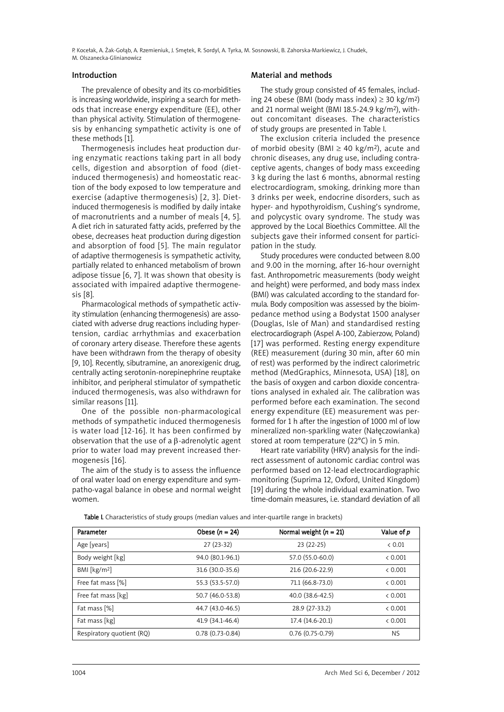P. Kocełak, A. Żak-Gołąb, A. Rzemieniuk, J. Smętek, R. Sordyl, A. Tyrka, M. Sosnowski, B. Zahorska-Markiewicz, J. Chudek, M. Olszanecka-Glinianowicz

## Introduction

The prevalence of obesity and its co-morbidities is increasing worldwide, inspiring a search for methods that increase energy expenditure (EE), other than physical activity. Stimulation of thermogenesis by enhancing sympathetic activity is one of these methods [1].

Thermogenesis includes heat production during enzymatic reactions taking part in all body cells, digestion and absorption of food (dietinduced thermogenesis) and homeostatic reaction of the body exposed to low temperature and exercise (adaptive thermogenesis) [2, 3]. Dietinduced thermogenesis is modified by daily intake of macronutrients and a number of meals [4, 5]. A diet rich in saturated fatty acids, preferred by the obese, decreases heat production during digestion and absorption of food [5]. The main regulator of adaptive thermogenesis is sympathetic activity, partially related to enhanced metabolism of brown adipose tissue [6, 7]. It was shown that obesity is associated with impaired adaptive thermogenesis [8].

Pharmacological methods of sympathetic activity stimulation (enhancing thermogenesis) are associated with adverse drug reactions including hypertension, cardiac arrhythmias and exacerbation of coronary artery disease. Therefore these agents have been withdrawn from the therapy of obesity [9, 10]. Recently, sibutramine, an anorexigenic drug, centrally acting serotonin-norepinephrine reuptake inhibitor, and peripheral stimulator of sympathetic induced thermogenesis, was also withdrawn for similar reasons [11].

One of the possible non-pharmacological methods of sympathetic induced thermogenesis is water load [12-16]. It has been confirmed by observation that the use of a β-adrenolytic agent prior to water load may prevent increased thermogenesis [16].

The aim of the study is to assess the influence of oral water load on energy expenditure and sympatho-vagal balance in obese and normal weight women.

## Material and methods

The study group consisted of 45 females, including 24 obese (BMI (body mass index)  $\geq$  30 kg/m<sup>2</sup>) and 21 normal weight (BMI 18.5-24.9 kg/m2), without concomitant diseases. The characteristics of study groups are presented in Table I.

The exclusion criteria included the presence of morbid obesity (BMI  $\geq$  40 kg/m<sup>2</sup>), acute and chronic diseases, any drug use, including contraceptive agents, changes of body mass exceeding 3 kg during the last 6 months, abnormal resting electrocardiogram, smoking, drinking more than 3 drinks per week, endocrine disorders, such as hyper- and hypothyroidism, Cushing's syndrome, and polycystic ovary syndrome. The study was approved by the Local Bioethics Committee. All the subjects gave their informed consent for participation in the study.

Study procedures were conducted between 8.00 and 9.00 in the morning, after 16-hour overnight fast. Anthropometric measurements (body weight and height) were performed, and body mass index (BMI) was calculated according to the standard formula. Body composition was assessed by the bioimpedance method using a Bodystat 1500 analyser (Douglas, Isle of Man) and standardised resting electrocardiograph (Aspel A-100, Zabierzow, Poland) [17] was performed. Resting energy expenditure (REE) measurement (during 30 min, after 60 min of rest) was performed by the indirect calorimetric method (MedGraphics, Minnesota, USA) [18], on the basis of oxygen and carbon dioxide concentrations analysed in exhaled air. The calibration was performed before each examination. The second energy expenditure (EE) measurement was performed for 1 h after the ingestion of 1000 ml of low mineralized non-sparkling water (Nałęczowianka) stored at room temperature (22°C) in 5 min.

Heart rate variability (HRV) analysis for the indirect assessment of autonomic cardiac control was performed based on 12-lead electrocardiographic monitoring (Suprima 12, Oxford, United Kingdom) [19] during the whole individual examination. Two time-domain measures, i.e. standard deviation of all

Table I. Characteristics of study groups (median values and inter-quartile range in brackets)

| Parameter                 | Obese $(n = 24)$  | Normal weight $(n = 21)$ | Value of p |
|---------------------------|-------------------|--------------------------|------------|
| Age [years]               | $27(23-32)$       | $23(22-25)$              | & 0.01     |
| Body weight [kg]          | 94.0 (80.1-96.1)  | 57.0 (55.0-60.0)         | < 0.001    |
| BMI [ $kg/m2$ ]           | 31.6 (30.0-35.6)  | 21.6 (20.6-22.9)         | & 0.001    |
| Free fat mass [%]         | 55.3 (53.5-57.0)  | 71.1 (66.8-73.0)         | < 0.001    |
| Free fat mass [kg]        | 50.7 (46.0-53.8)  | 40.0 (38.6-42.5)         | < 0.001    |
| Fat mass [%]              | 44.7 (43.0-46.5)  | 28.9 (27-33.2)           | < 0.001    |
| Fat mass [kg]             | 41.9 (34.1-46.4)  | 17.4 (14.6-20.1)         | < 0.001    |
| Respiratory quotient (RQ) | $0.78(0.73-0.84)$ | $0.76(0.75-0.79)$        | <b>NS</b>  |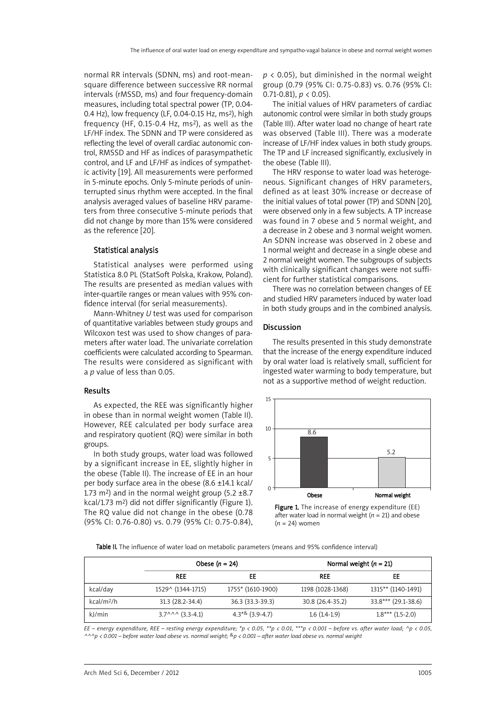normal RR intervals (SDNN, ms) and root-meansquare difference between successive RR normal intervals (rMSSD, ms) and four frequency-domain measures, including total spectral power (TP, 0.04- 0.4 Hz), low frequency (LF, 0.04-0.15 Hz, ms2), high frequency (HF,  $0.15$ -0.4 Hz, ms<sup>2</sup>), as well as the LF/HF index. The SDNN and TP were considered as reflecting the level of overall cardiac autonomic control, RMSSD and HF as indices of parasympathetic control, and LF and LF/HF as indices of sympathetic activity [19]. All measurements were performed in 5-minute epochs. Only 5-minute periods of uninterrupted sinus rhythm were accepted. In the final analysis averaged values of baseline HRV parameters from three consecutive 5-minute periods that did not change by more than 15% were considered as the reference [20].

## Statistical analysis

Statistical analyses were performed using Statistica 8.0 PL (StatSoft Polska, Krakow, Poland). The results are presented as median values with inter-quartile ranges or mean values with 95% confidence interval (for serial measurements).

Mann-Whitney *U* test was used for comparison of quantitative variables between study groups and Wilcoxon test was used to show changes of parameters after water load. The univariate correlation coefficients were calculated according to Spearman. The results were considered as significant with a *p* value of less than 0.05.

## Results

As expected, the REE was significantly higher in obese than in normal weight women (Table II). However, REE calculated per body surface area and respiratory quotient (RQ) were similar in both groups.

In both study groups, water load was followed by a significant increase in EE, slightly higher in the obese (Table II). The increase of EE in an hour per body surface area in the obese (8.6 ±14.1 kcal/ 1.73 m<sup>2</sup>) and in the normal weight group (5.2  $\pm$ 8.7 kcal/1.73 m2) did not differ significantly (Figure 1). The RQ value did not change in the obese (0.78 (95% CI: 0.76-0.80) vs. 0.79 (95% CI: 0.75-0.84), *p* < 0.05), but diminished in the normal weight group (0.79 (95% CI: 0.75-0.83) vs. 0.76 (95% CI: 0.71-0.81),  $p < 0.05$ ).

The initial values of HRV parameters of cardiac autonomic control were similar in both study groups (Table III). After water load no change of heart rate was observed (Table III). There was a moderate increase of LF/HF index values in both study groups. The TP and LF increased significantly, exclusively in the obese (Table III).

The HRV response to water load was heterogeneous. Significant changes of HRV parameters, defined as at least 30% increase or decrease of the initial values of total power (TP) and SDNN [20], were observed only in a few subjects. A TP increase was found in 7 obese and 5 normal weight, and a decrease in 2 obese and 3 normal weight women. An SDNN increase was observed in 2 obese and 1 normal weight and decrease in a single obese and 2 normal weight women. The subgroups of subjects with clinically significant changes were not sufficient for further statistical comparisons.

There was no correlation between changes of EE and studied HRV parameters induced by water load in both study groups and in the combined analysis.

## Discussion

The results presented in this study demonstrate that the increase of the energy expenditure induced by oral water load is relatively small, sufficient for ingested water warming to body temperature, but not as a supportive method of weight reduction.



Figure 1. The increase of energy expenditure (EE) after water load in normal weight (*n* = 21) and obese (*n* = 24) women

Table II. The influence of water load on metabolic parameters (means and 95% confidence interval)

|                        | Obese $(n = 24)$                       |                   | Normal weight $(n = 21)$ |                     |
|------------------------|----------------------------------------|-------------------|--------------------------|---------------------|
|                        | <b>REE</b>                             | EE                | <b>REE</b>               | EE                  |
| kcal/day               | 1529^ (1344-1715)                      | 1755* (1610-1900) | 1198 (1028-1368)         | 1315** (1140-1491)  |
| kcal/m <sup>2</sup> /h | 31.3 (28.2-34.4)                       | 36.3 (33.3-39.3)  | 30.8 (26.4-35.2)         | 33.8*** (29.1-38.6) |
| kJ/min                 | $3.7^{\wedge \wedge \wedge}$ (3.3-4.1) | $4.3*8$ (3.9-4.7) | $1.6(1.4-1.9)$           | $1.8***$ (1.5-2.0)  |

EE - energy expenditure, REE - resting energy expenditure; \*p < 0.05, \*\*p < 0.01, \*\*\*p < 0.001 - before vs. after water load; ^p < 0.05,  $4\wedge\wedge p$  < 0.001 – before water load obese vs. normal weight;  ${}^{8}p$  < 0.001 – after water load obese vs. normal weight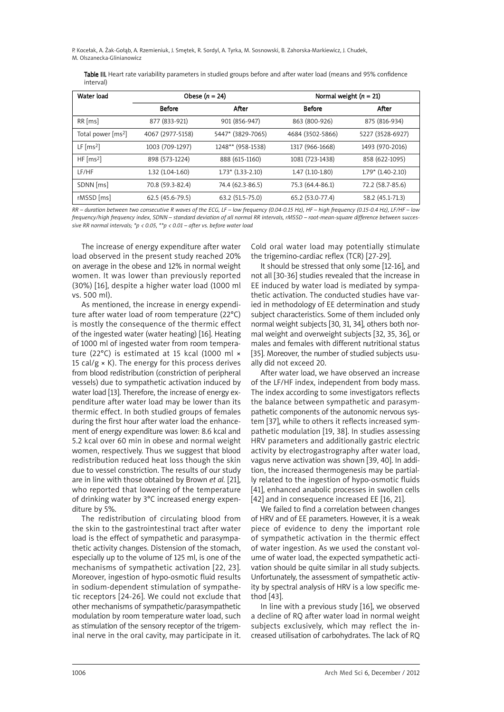P. Kocełak, A. Żak-Gołąb, A. Rzemieniuk, J. Smętek, R. Sordyl, A. Tyrka, M. Sosnowski, B. Zahorska-Markiewicz, J. Chudek, M. Olszanecka-Glinianowicz

| Table III. Heart rate variability parameters in studied groups before and after water load (means and 95% confidence |  |  |  |
|----------------------------------------------------------------------------------------------------------------------|--|--|--|
| interval)                                                                                                            |  |  |  |

| Water load                     | Obese $(n = 24)$  |                     | Normal weight $(n = 21)$ |                     |  |
|--------------------------------|-------------------|---------------------|--------------------------|---------------------|--|
|                                | <b>Before</b>     | After               | <b>Before</b>            | After               |  |
| $RR$ [ms]                      | 877 (833-921)     | 901 (856-947)       | 863 (800-926)            | 875 (816-934)       |  |
| Total power [ms <sup>2</sup> ] | 4067 (2977-5158)  | 5447* (3829-7065)   | 4684 (3502-5866)         | 5227 (3528-6927)    |  |
| LF $\text{[ms2]}$              | 1003 (709-1297)   | 1248** (958-1538)   | 1317 (966-1668)          | 1493 (970-2016)     |  |
| HF $\text{[ms2]}$              | 898 (573-1224)    | 888 (615-1160)      | 1081 (723-1438)          | 858 (622-1095)      |  |
| LF/HF                          | $1.32(1.04-1.60)$ | $1.73*$ (1.33-2.10) | $1.47(1.10-1.80)$        | $1.79*$ (1.40-2.10) |  |
| SDNN [ms]                      | 70.8 (59.3-82.4)  | 74.4 (62.3-86.5)    | 75.3 (64.4-86.1)         | 72.2 (58.7-85.6)    |  |
| rMSSD [ms]                     | 62.5 (45.6-79.5)  | 63.2 (51.5-75.0)    | 65.2 (53.0-77.4)         | 58.2 (45.1-71.3)    |  |

RR - duration between two consecutive R waves of the ECG, LF - low frequency (0.04-0.15 Hz), HF - high frequency (0.15-0.4 Hz), LF/HF - low frequency/high frequency index, SDNN - standard deviation of all normal RR intervals, rMSSD - root-mean-square difference between succes*sive RR normal intervals; \*p < 0.05, \*\*p < 0.01 – after vs. before water load*

The increase of energy expenditure after water load observed in the present study reached 20% on average in the obese and 12% in normal weight women. It was lower than previously reported (30%) [16], despite a higher water load (1000 ml vs. 500 ml).

As mentioned, the increase in energy expenditure after water load of room temperature (22°C) is mostly the consequence of the thermic effect of the ingested water (water heating) [16]. Heating of 1000 ml of ingested water from room temperature (22°C) is estimated at 15 kcal (1000 ml × 15 cal/g  $\times$  K). The energy for this process derives from blood redistribution (constriction of peripheral vessels) due to sympathetic activation induced by water load [13]. Therefore, the increase of energy expenditure after water load may be lower than its thermic effect. In both studied groups of females during the first hour after water load the enhancement of energy expenditure was lower: 8.6 kcal and 5.2 kcal over 60 min in obese and normal weight women, respectively. Thus we suggest that blood redistribution reduced heat loss though the skin due to vessel constriction. The results of our study are in line with those obtained by Brown *et al.* [21], who reported that lowering of the temperature of drinking water by 3°C increased energy expenditure by 5%.

The redistribution of circulating blood from the skin to the gastrointestinal tract after water load is the effect of sympathetic and parasympathetic activity changes. Distension of the stomach, especially up to the volume of 125 ml, is one of the mechanisms of sympathetic activation [22, 23]. Moreover, ingestion of hypo-osmotic fluid results in sodium-dependent stimulation of sympathetic receptors [24-26]. We could not exclude that other mechanisms of sympathetic/parasympathetic modulation by room temperature water load, such as stimulation of the sensory receptor of the trigeminal nerve in the oral cavity, may participate in it.

Cold oral water load may potentially stimulate the trigemino-cardiac reflex (TCR) [27-29].

It should be stressed that only some [12-16], and not all [30-36] studies revealed that the increase in EE induced by water load is mediated by sympathetic activation. The conducted studies have varied in methodology of EE determination and study subject characteristics. Some of them included only normal weight subjects [30, 31, 34], others both normal weight and overweight subjects [32, 35, 36], or males and females with different nutritional status [35]. Moreover, the number of studied subjects usually did not exceed 20.

After water load, we have observed an increase of the LF/HF index, independent from body mass. The index according to some investigators reflects the balance between sympathetic and parasympathetic components of the autonomic nervous system [37], while to others it reflects increased sympathetic modulation [19, 38]. In studies assessing HRV parameters and additionally gastric electric activity by electrogastrography after water load, vagus nerve activation was shown [39, 40]. In addition, the increased thermogenesis may be partially related to the ingestion of hypo-osmotic fluids [41], enhanced anabolic processes in swollen cells [42] and in consequence increased EE [16, 21].

We failed to find a correlation between changes of HRV and of EE parameters. However, it is a weak piece of evidence to deny the important role of sympathetic activation in the thermic effect of water ingestion. As we used the constant volume of water load, the expected sympathetic activation should be quite similar in all study subjects. Unfortunately, the assessment of sympathetic activity by spectral analysis of HRV is a low specific method [43].

In line with a previous study [16], we observed a decline of RQ after water load in normal weight subjects exclusively, which may reflect the increased utilisation of carbohydrates. The lack of RQ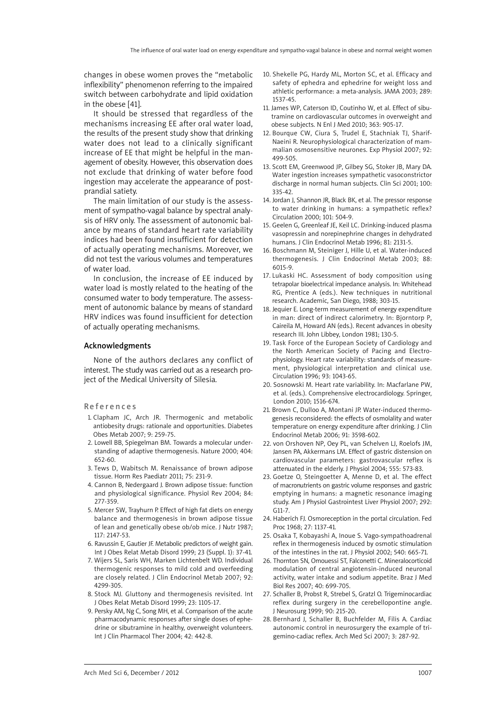changes in obese women proves the "metabolic inflexibility" phenomenon referring to the impaired switch between carbohydrate and lipid oxidation in the obese [41].

It should be stressed that regardless of the mechanisms increasing EE after oral water load, the results of the present study show that drinking water does not lead to a clinically significant increase of EE that might be helpful in the management of obesity. However, this observation does not exclude that drinking of water before food ingestion may accelerate the appearance of postprandial satiety.

The main limitation of our study is the assessment of sympatho-vagal balance by spectral analysis of HRV only. The assessment of autonomic balance by means of standard heart rate variability indices had been found insufficient for detection of actually operating mechanisms. Moreover, we did not test the various volumes and temperatures of water load.

In conclusion, the increase of EE induced by water load is mostly related to the heating of the consumed water to body temperature. The assessment of autonomic balance by means of standard HRV indices was found insufficient for detection of actually operating mechanisms.

#### Acknowledgments

None of the authors declares any conflict of interest. The study was carried out as a research project of the Medical University of Silesia.

**References** 

- 1. Clapham JC, Arch JR. Thermogenic and metabolic antiobesity drugs: rationale and opportunities. Diabetes Obes Metab 2007; 9: 259-75.
- 2. Lowell BB, Spiegelman BM. Towards a molecular understanding of adaptive thermogenesis. Nature 2000; 404: 652-60.
- 3. Tews D, Wabitsch M. Renaissance of brown adipose tissue. Horm Res Paediatr 2011; 75: 231-9.
- 4. Cannon B, Nedergaard J. Brown adipose tissue: function and physiological significance. Physiol Rev 2004; 84: 277-359.
- 5. Mercer SW, Trayhurn P. Effect of high fat diets on energy balance and thermogenesis in brown adipose tissue of lean and genetically obese ob/ob mice. J Nutr 1987; 117: 2147-53.
- 6. Ravussin E, Gautier JF. Metabolic predictors of weight gain. Int J Obes Relat Metab Disord 1999; 23 (Suppl. 1): 37-41.
- 7. Wijers SL, Saris WH, Marken Lichtenbelt WD. Individual thermogenic responses to mild cold and overfeeding are closely related. J Clin Endocrinol Metab 2007; 92: 4299-305.
- 8. Stock MJ. Gluttony and thermogenesis revisited. Int J Obes Relat Metab Disord 1999; 23: 1105-17.
- 9. Persky AM, Ng C, Song MH, et al. Comparison of the acute pharmacodynamic responses after single doses of ephedrine or sibutramine in healthy, overweight volunteers. Int J Clin Pharmacol Ther 2004; 42: 442-8.
- 10. Shekelle PG, Hardy ML, Morton SC, et al. Efficacy and safety of ephedra and ephedrine for weight loss and athletic performance: a meta-analysis. JAMA 2003; 289: 1537-45.
- 11. James WP, Caterson ID, Coutinho W, et al. Effect of sibutramine on cardiovascular outcomes in overweight and obese subjects. N Enl J Med 2010; 363: 905-17.
- 12. Bourque CW, Ciura S, Trudel E, Stachniak TJ, Sharif-Naeini R. Neurophysiological characterization of mammalian osmosensitive neurones. Exp Physiol 2007; 92: 499-505.
- 13. Scott EM, Greenwood JP, Gilbey SG, Stoker JB, Mary DA. Water ingestion increases sympathetic vasoconstrictor discharge in normal human subjects. Clin Sci 2001; 100: 335-42.
- 14. Jordan J, Shannon JR, Black BK, et al. The pressor response to water drinking in humans: a sympathetic reflex? Circulation 2000; 101: 504-9.
- 15. Geelen G, Greenleaf JE, Keil LC. Drinking-induced plasma vasopressin and norepinephrine changes in dehydrated humans. J Clin Endocrinol Metab 1996; 81: 2131-5.
- 16. Boschmann M, Steiniger J, Hille U, et al. Water-induced thermogenesis. J Clin Endocrinol Metab 2003; 88: 6015-9.
- 17. Lukaski HC. Assessment of body composition using tetrapolar bioelectrical impedance analysis. In: Whitehead RG, Prentice A (eds.). New techniques in nutritional research. Academic, San Diego, 1988; 303-15.
- 18. Jequier E. Long-term measurement of energy expenditure in man: direct of indirect calorimetry. In: Bjorntorp P, Caireila M, Howard AN (eds.). Recent advances in obesity research III. John Libbey, London 1981; 130-5.
- 19. Task Force of the European Society of Cardiology and the North American Society of Pacing and Electrophysiology. Heart rate variability: standards of measurement, physiological interpretation and clinical use. Circulation 1996; 93: 1043-65.
- 20. Sosnowski M. Heart rate variability. In: Macfarlane PW, et al. (eds.). Comprehensive electrocardiology. Springer, London 2010; 1516-674.
- 21. Brown C, Dulloo A, Montani JP. Water-induced thermogenesis reconsidered: the effects of osmolality and water temperature on energy expenditure after drinking. J Clin Endocrinol Metab 2006; 91: 3598-602.
- 22. von Orshoven NP, Oey PL, van Schelven LJ, Roelofs JM, Jansen PA, Akkermans LM. Effect of gastric distension on cardiovascular parameters: gastrovascular reflex is attenuated in the elderly. J Physiol 2004; 555: 573-83.
- 23. Goetze O, Steingoetter A, Menne D, et al. The effect of macronutrients on gastric volume responses and gastric emptying in humans: a magnetic resonance imaging study. Am J Physiol Gastrointest Liver Physiol 2007; 292: G11-7.
- 24. Haberich FJ. Osmoreception in the portal circulation. Fed Proc 1968; 27: 1137-41.
- 25. Osaka T, Kobayashi A, Inoue S. Vago-sympathoadrenal reflex in thermogenesis induced by osmotic stimulation of the intestines in the rat. J Physiol 2002; 540: 665-71.
- 26. Thornton SN, Omouessi ST, Falconetti C. Mineralocorticoid modulation of central angiotensin-induced neuronal activity, water intake and sodium appetite. Braz J Med Biol Res 2007; 40: 699-705.
- 27. Schaller B, Probst R, Strebel S, Gratzl O. Trigeminocardiac reflex during surgery in the cerebellopontine angle. J Neurosurg 1999; 90: 215-20.
- 28. Bernhard J, Schaller B, Buchfelder M, Filis A. Cardiac autonomic control in neurosurgery the example of trigemino-cadiac reflex. Arch Med Sci 2007; 3: 287-92.